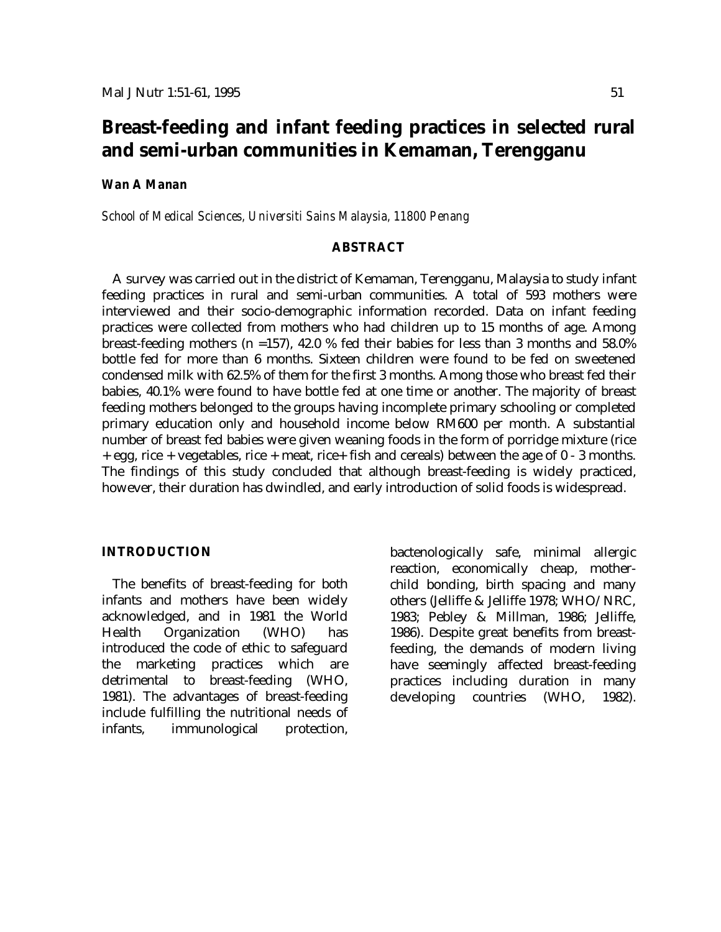# **Breast-feeding and infant feeding practices in selected rural and semi-urban communities in Kemaman, Terengganu**

### *Wan A Manan*

*School of Medical Sciences, Universiti Sains Malaysia, 11800 Penang*

### **ABSTRACT**

A survey was carried out in the district of Kemaman, Terengganu, Malaysia to study infant feeding practices in rural and semi-urban communities. A total of 593 mothers were interviewed and their socio-demographic information recorded. Data on infant feeding practices were collected from mothers who had children up to 15 months of age. Among breast-feeding mothers (n =157), 42.0 % fed their babies for less than 3 months and 58.0% bottle fed for more than 6 months. Sixteen children were found to be fed on sweetened condensed milk with 62.5% of them for the first 3 months. Among those who breast fed their babies, 40.1% were found to have bottle fed at one time or another. The majority of breast feeding mothers belonged to the groups having incomplete primary schooling or completed primary education only and household income below RM600 per month. A substantial number of breast fed babies were given weaning foods in the form of porridge mixture (rice + egg, rice + vegetables, rice + meat, rice+ fish and cereals) between the age of 0 - 3 months. The findings of this study concluded that although breast-feeding is widely practiced, however, their duration has dwindled, and early introduction of solid foods is widespread.

### **INTRODUCTION**

The benefits of breast-feeding for both infants and mothers have been widely acknowledged, and in 1981 the World Health Organization (WHO) has introduced the code of ethic to safeguard the marketing practices which are detrimental to breast-feeding (WHO, 1981). The advantages of breast-feeding include fulfilling the nutritional needs of infants, immunological protection,

bactenologically safe, minimal allergic reaction, economically cheap, motherchild bonding, birth spacing and many others (Jelliffe & Jelliffe 1978; WHO/NRC, 1983; Pebley & Millman, 1986; Jelliffe, 1986). Despite great benefits from breastfeeding, the demands of modern living have seemingly affected breast-feeding practices including duration in many developing countries (WHO, 1982).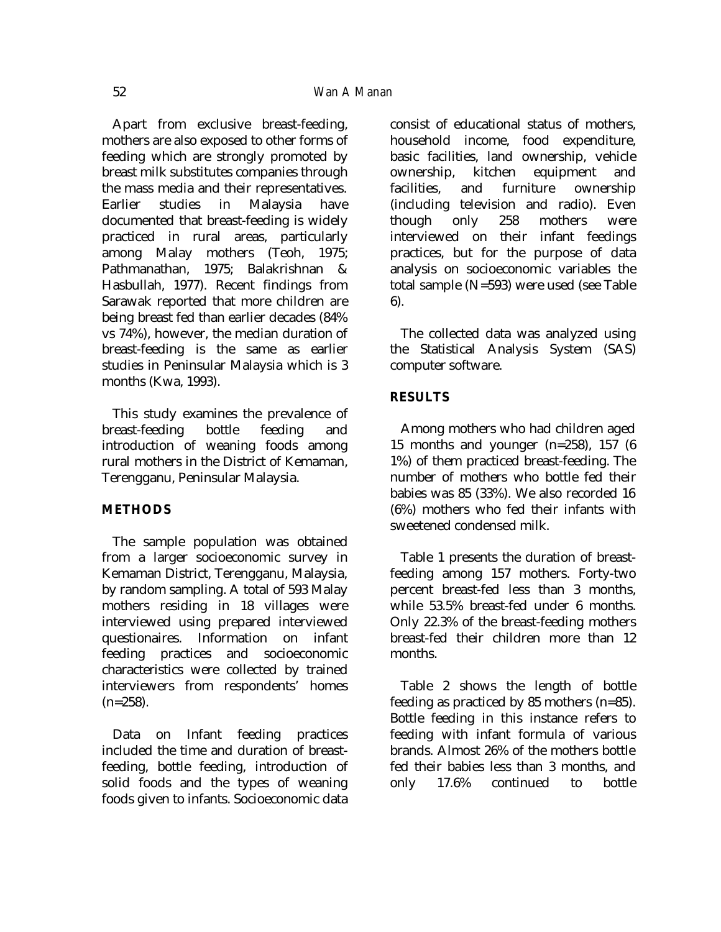Apart from exclusive breast-feeding, mothers are also exposed to other forms of feeding which are strongly promoted by breast milk substitutes companies through the mass media and their representatives. Earlier studies in Malaysia have documented that breast-feeding is widely practiced in rural areas, particularly among Malay mothers (Teoh, 1975; Pathmanathan, 1975; Balakrishnan & Hasbullah, 1977). Recent findings from Sarawak reported that more children are being breast fed than earlier decades (84% vs 74%), however, the median duration of breast-feeding is the same as earlier studies in Peninsular Malaysia which is 3 months (Kwa, 1993).

This study examines the prevalence of breast-feeding bottle feeding and introduction of weaning foods among rural mothers in the District of Kemaman, Terengganu, Peninsular Malaysia.

### **METHODS**

The sample population was obtained from a larger socioeconomic survey in Kemaman District, Terengganu, Malaysia, by random sampling. A total of 593 Malay mothers residing in 18 villages were interviewed using prepared interviewed questionaires. Information on infant feeding practices and socioeconomic characteristics were collected by trained interviewers from respondents' homes  $(n=258)$ .

Data on Infant feeding practices included the time and duration of breastfeeding, bottle feeding, introduction of solid foods and the types of weaning foods given to infants. Socioeconomic data consist of educational status of mothers, household income, food expenditure, basic facilities, land ownership, vehicle ownership, kitchen equipment and facilities, and furniture ownership (including television and radio). Even though only 258 mothers were interviewed on their infant feedings practices, but for the purpose of data analysis on socioeconomic variables the total sample (N=593) were used (see Table 6).

The collected data was analyzed using the Statistical Analysis System (SAS) computer software.

## **RESULTS**

Among mothers who had children aged 15 months and younger (n=258), 157 (6 1%) of them practiced breast-feeding. The number of mothers who bottle fed their babies was 85 (33%). We also recorded 16 (6%) mothers who fed their infants with sweetened condensed milk.

Table 1 presents the duration of breastfeeding among 157 mothers. Forty-two percent breast-fed less than 3 months, while 53.5% breast-fed under 6 months. Only 22.3% of the breast-feeding mothers breast-fed their children more than 12 months.

Table 2 shows the length of bottle feeding as practiced by 85 mothers (n=85). Bottle feeding in this instance refers to feeding with infant formula of various brands. Almost 26% of the mothers bottle fed their babies less than 3 months, and only 17.6% continued to bottle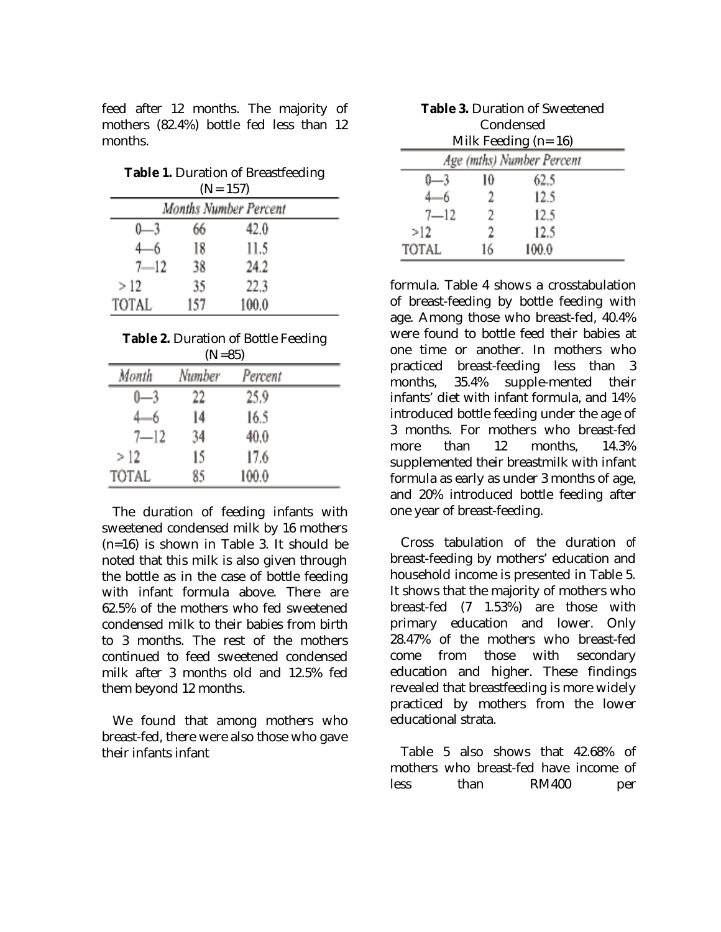feed after 12 months. The majority of mothers (82.4%) bottle fed less than 12 months.

|          |     | <b>Table 1.</b> Duration of Breastfeeding<br>$(N=157)$ |
|----------|-----|--------------------------------------------------------|
|          |     | Months Number Percent                                  |
|          | 66  | 42.0                                                   |
|          | 18  | 11.5                                                   |
| $7 - 12$ | 38  | 24.2                                                   |
| >12      | 35  | 22.3                                                   |
| TOTAL    | 157 | 100.0                                                  |

| <b>Table 2.</b> Duration of Bottle Feeding |  |
|--------------------------------------------|--|
| (11)                                       |  |

|          | $(N=85)$ |         |  |
|----------|----------|---------|--|
| Month    | Number   | Percent |  |
|          | 22       | 25.9    |  |
|          | 14       | 16.5    |  |
| $7 - 12$ | 34       | 40,0    |  |
| > 12     | 15       | 17.6    |  |
| TOTAL    | 85       | 100.0   |  |

The duration of feeding infants with sweetened condensed milk by 16 mothers (n=16) is shown in Table 3. It should be noted that this milk is also given through the bottle as in the case of bottle feeding with infant formula above. There are 62.5% of the mothers who fed sweetened condensed milk to their babies from birth to 3 months. The rest of the mothers continued to feed sweetened condensed milk after 3 months old and 12.5% fed them beyond 12 months.

We found that among mothers who breast-fed, there were also those who gave their infants infant

|          |    | <b>Table 3. Duration of Sweetened</b> |  |
|----------|----|---------------------------------------|--|
|          |    | Condensed                             |  |
|          |    | Milk Feeding $(n=16)$                 |  |
|          |    | Age (mths) Number Percent             |  |
|          | 10 | 62.5                                  |  |
|          | 2  | 12.5                                  |  |
| $7 - 12$ | 2. | 12.5                                  |  |
| >12      | 2  | 12.5                                  |  |
| TOTAL    | 16 | 100.0                                 |  |

formula. Table 4 shows a crosstabulation of breast-feeding by bottle feeding with age. Among those who breast-fed, 40.4% were found to bottle feed their babies at one time or another. In mothers who practiced breast-feeding less than 3 months, 35.4% supple-mented their infants' diet with infant formula, and 14% introduced bottle feeding under the age of 3 months. For mothers who breast-fed more than 12 months, 14.3% supplemented their breastmilk with infant formula as early as under 3 months of age, and 20% introduced bottle feeding after one year of breast-feeding.

Cross tabulation of the duration *of*  breast-feeding by mothers' education and household income is presented in Table 5. It shows that the majority of mothers who breast-fed (7 1.53%) are those with primary education and lower. Only 28.47% of the mothers who breast-fed come from those with secondary education and higher. These findings revealed that breastfeeding is more widely practiced by mothers from the lower educational strata.

Table 5 also shows that 42.68% of mothers who breast-fed have income of less than RM400 per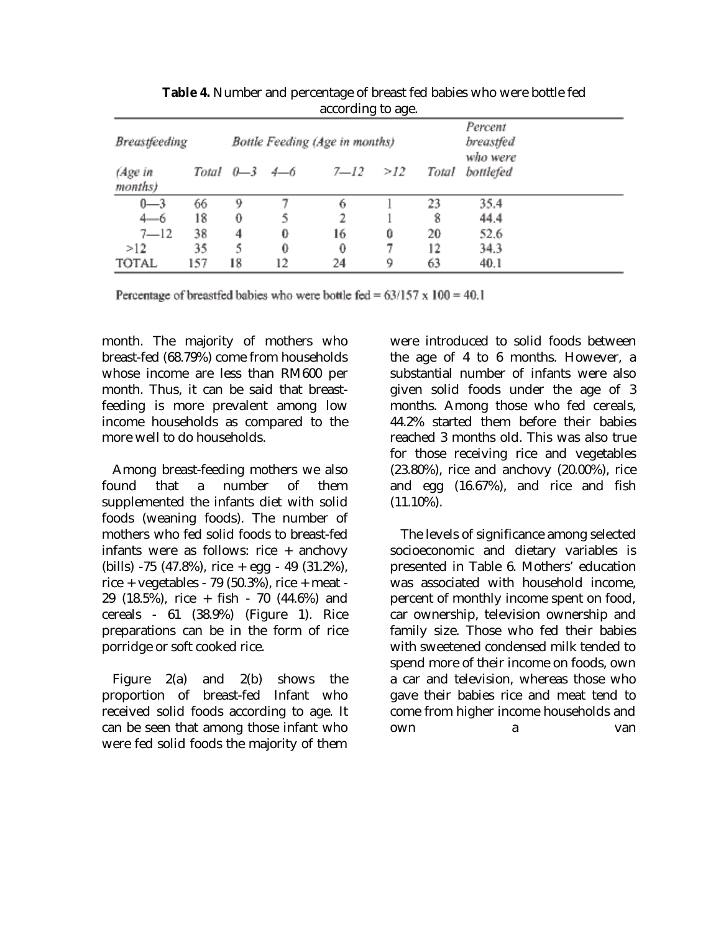| <b>Breastfeeding</b> |     |                       |    | Bottle Feeding (Age in months) | יים־ יי ח־ |       | Percent<br>breastfed<br>who were |  |
|----------------------|-----|-----------------------|----|--------------------------------|------------|-------|----------------------------------|--|
| (Age in<br>months)   |     | Total $0 - 3$ $4 - 6$ |    | $7 - 12$                       | >12        | Total | bottlefed                        |  |
| $0 - 3$              | 66  | 9                     |    | 6                              |            | 23    | 35.4                             |  |
| 4—6                  | 18  | 0                     |    | 2                              |            | 8     | 44.4                             |  |
| $7 - 12$             | 38  | 4                     | 0  | 16                             | 0          | 20    | 52.6                             |  |
| >12                  | 35  | 5                     | 0  | 0                              |            | 12    | 34.3                             |  |
| <b>TOTAL</b>         | 157 | 18                    | 12 | 24                             | 9          | 63    | 40.1                             |  |

**Table 4.** Number and percentage of breast fed babies who were bottle fed according to age.

Percentage of breastfed babies who were bottle fed =  $63/157 \times 100 = 40.1$ 

month. The majority of mothers who breast-fed (68.79%) come from households whose income are less than RM600 per month. Thus, it can be said that breastfeeding is more prevalent among low income households as compared to the more well to do households.

Among breast-feeding mothers we also found that a number of them supplemented the infants diet with solid foods (weaning foods). The number of mothers who fed solid foods to breast-fed infants were as follows: rice + anchovy (bills) -75 (47.8%), rice + egg - 49 (31.2%), rice + vegetables - 79 (50.3%), rice + meat - 29 (18.5%), rice + fish - 70 (44.6%) and cereals - 61 (38.9%) (Figure 1). Rice preparations can be in the form of rice porridge or soft cooked rice.

Figure 2(a) and 2(b) shows the proportion of breast-fed Infant who received solid foods according to age. It can be seen that among those infant who were fed solid foods the majority of them

were introduced to solid foods between the age of 4 to 6 months. However, a substantial number of infants were also given solid foods under the age of 3 months. Among those who fed cereals, 44.2% started them before their babies reached 3 months old. This was also true for those receiving rice and vegetables (23.80%), rice and anchovy (20.00%), rice and egg (16.67%), and rice and fish  $(11.10\%).$ 

The levels of significance among selected socioeconomic and dietary variables is presented in Table 6. Mothers' education was associated with household income, percent of monthly income spent on food, car ownership, television ownership and family size. Those who fed their babies with sweetened condensed milk tended to spend more of their income on foods, own a car and television, whereas those who gave their babies rice and meat tend to come from higher income households and own a van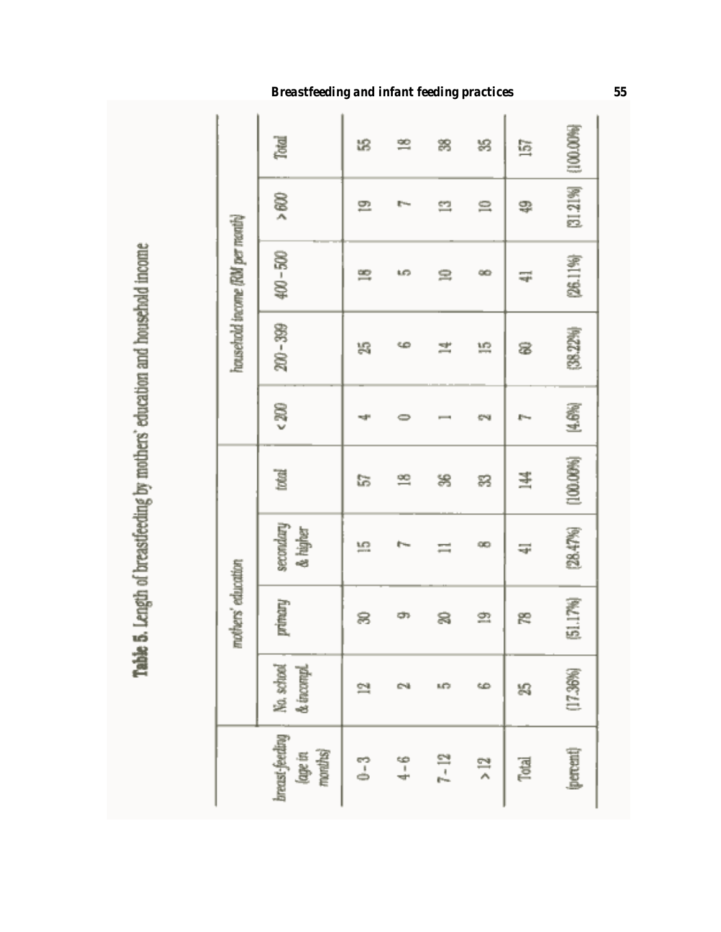Table 5. Length of breastfeeding by mothers' education and household income

|                                 | Total                                | 龆     | 쁰                             | 謅        | 舄       | 唇     | [100.00%] |
|---------------------------------|--------------------------------------|-------|-------------------------------|----------|---------|-------|-----------|
|                                 | > 600                                | 므     | $\mathbb{R}^{n_{\text{max}}}$ | ≌        | $\cong$ | 罕     | [31.21%]  |
| household income (RM per month) | $400 - 500$                          | 黑     | LO <sub>1</sub>               | ≘        | œ       | ⋥     | (26.11%)  |
|                                 | $200 - 399$                          | 舄     | ç                             | 熏        | 照       | 8     | [38.22%]  |
|                                 | 200                                  | ᆊ     |                               |          | es      |       | [4.6%]    |
|                                 | total                                | に     | ≌                             | 舄        | R       | 当     | [100.09%] |
|                                 | secondary<br>& higher                | 띂     | r.,                           | ≍        | œ       | ⋥     | [28.47%]  |
| mothers' education              | primary                              | 8     | ආ                             | 8        | 흐       | æ     | [51.17%]  |
|                                 | No. school<br>& incompl.             | 헠     |                               | ᄕ        | 6       | 舄     | (17.36%)  |
|                                 | breast-feeding<br>(age in<br>months) | $0-3$ | $4 - 6$                       | $7 - 12$ | $>12$   | Total | (percent) |

## *Breastfeeding and infant feeding practices 55*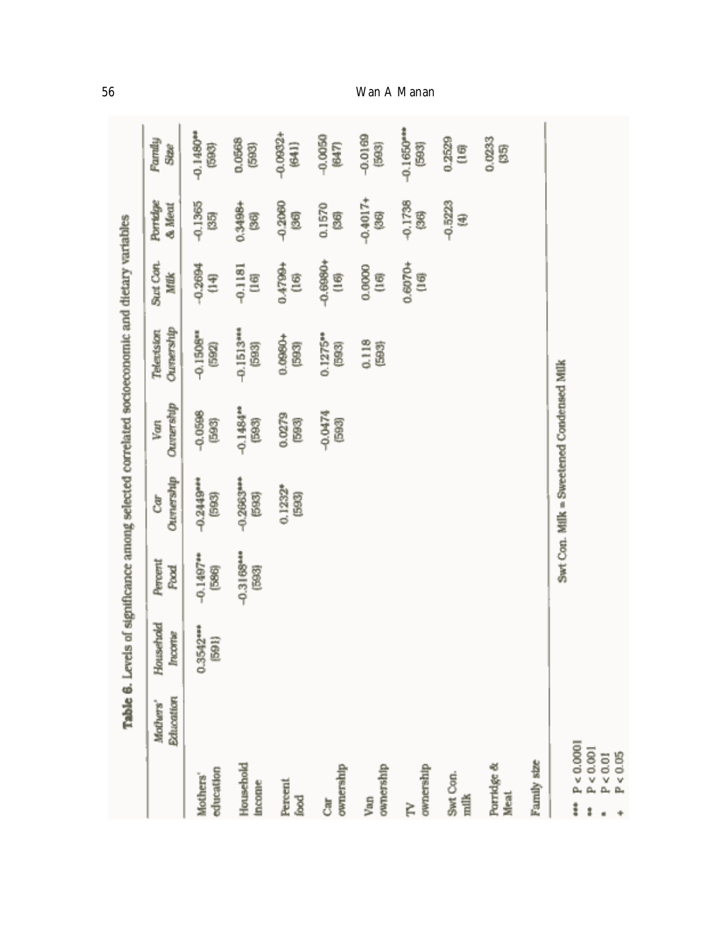|                                          | Table 6. Levels              |                      |                      |                                          |                        | of significance among selected correlated socioeconomic and dietary variables |                  |                    |                       |
|------------------------------------------|------------------------------|----------------------|----------------------|------------------------------------------|------------------------|-------------------------------------------------------------------------------|------------------|--------------------|-----------------------|
|                                          | <b>Education</b><br>Mothers' | Household<br>Incorne | Percent<br>Food      | Ournership<br>ै                          | Ouversity<br>Van       | <b>Changership</b><br>Telentsion                                              | Sut Con.<br>Mtik | Portidge<br>& Meat | Family<br>Stee        |
| education<br>Mothers'                    |                              | $0.3542***$          | $-0.1497**$<br>[586] | $-0.2449***$<br>693                      | $-0.0598$<br>(593)     | $-0.1508$ <sup>**</sup><br>(592)                                              | $-0.2694$<br>E   | $-0.1365$<br>35)   | $-0.1480**$<br>688    |
| Household<br>ncome                       |                              |                      | $-0.3168$<br>(593)   | -0.2663**<br>(593)                       | $-0.1484^{m}$<br>(593) | $-0.1513***$<br>(593)                                                         | $-0.1181$<br>90  | 0.3498+<br>g       | 0.0568<br>(593)       |
| Percent<br>lood                          |                              |                      |                      | $0.1232*$<br>(593)                       | 0.0279<br>688          | 0.0990+<br>(593)                                                              | 0.4799+<br>Ê     | $-0.2060$<br>3     | $-0.0802 +$<br>(641)  |
| ownership<br>្ញុំ                        |                              |                      |                      |                                          | -0.0474<br>(593)       | 0.1275**<br>600                                                               | $-0.6990+$<br>Ē  | 0.1570<br>2        | $-0.0050$<br>(647)    |
| ownership<br>Van                         |                              |                      |                      |                                          |                        | 0.118<br>688                                                                  | 0.0000<br>E      | $-0.4017+$<br>8    | $-0.0169$<br>(503)    |
| ownership<br>È                           |                              |                      |                      |                                          |                        |                                                                               | 0.6070+<br>Ē     | $-0.1738$<br>5     | $-0.1650***$<br>(593) |
| Swt Con.<br>milk                         |                              |                      |                      |                                          |                        |                                                                               |                  | $-0.5223$<br>₹     | 0.2529<br>g           |
| Porridge &<br>Meat                       |                              |                      |                      |                                          |                        |                                                                               |                  |                    | 0.0233<br>5           |
| Family size                              |                              |                      |                      |                                          |                        |                                                                               |                  |                    |                       |
| P < 0.0001<br>P < 0.001<br>P < 0.05<br>ŧ |                              |                      |                      | Swt Con. Milk = Sweetened Condensed Milk |                        |                                                                               |                  |                    |                       |

 $+$ 

## *56 Wan A Manan*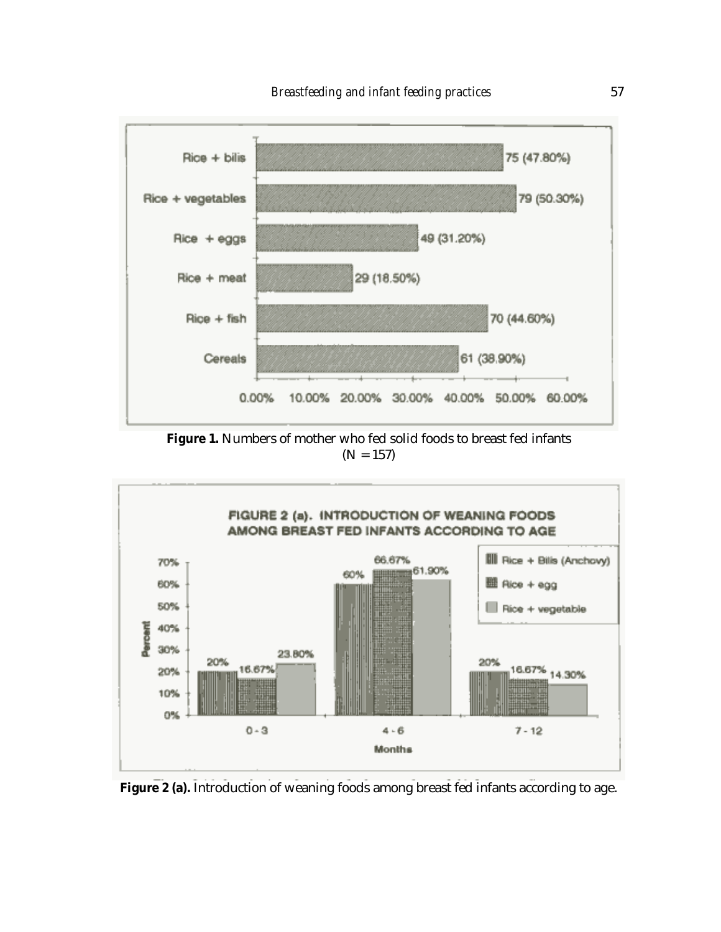

**Figure 1.** Numbers of mother who fed solid foods to breast fed infants  $(N = 157)$ 



Figure 2 (a). Introduction of weaning foods among breast fed infants according to age.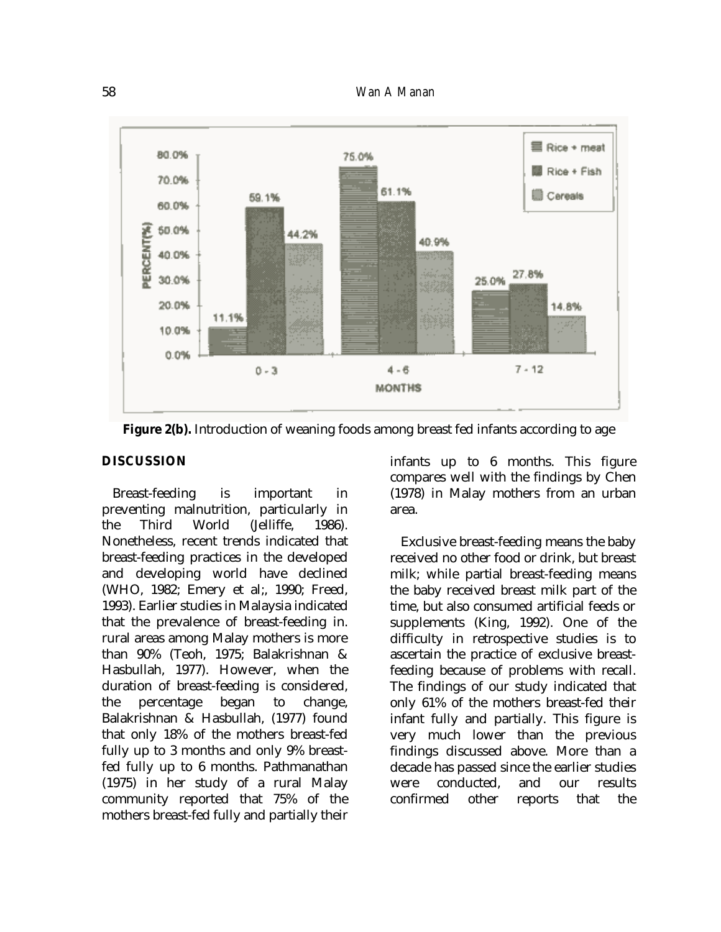

**Figure 2(b).** Introduction of weaning foods among breast fed infants according to age

## **DISCUSSION**

Breast-feeding is important in preventing malnutrition, particularly in<br>the Third World (Jelliffe, 1986). the Third World (Jelliffe, 1986). Nonetheless, recent trends indicated that breast-feeding practices in the developed and developing world have declined (WHO, 1982; Emery et al;, 1990; Freed, 1993). Earlier studies in Malaysia indicated that the prevalence of breast-feeding in. rural areas among Malay mothers is more than 90% (Teoh, 1975; Balakrishnan & Hasbullah, 1977). However, when the duration of breast-feeding is considered, the percentage began to change, Balakrishnan & Hasbullah, (1977) found that only 18% of the mothers breast-fed fully up to 3 months and only 9% breastfed fully up to 6 months. Pathmanathan (1975) in her study of a rural Malay community reported that 75% of the mothers breast-fed fully and partially their

infants up to 6 months. This figure compares well with the findings by Chen (1978) in Malay mothers from an urban area.

Exclusive breast-feeding means the baby received no other food or drink, but breast milk; while partial breast-feeding means the baby received breast milk part of the time, but also consumed artificial feeds or supplements (King, 1992). One of the difficulty in retrospective studies is to ascertain the practice of exclusive breastfeeding because of problems with recall. The findings of our study indicated that only 61% of the mothers breast-fed their infant fully and partially. This figure is very much lower than the previous findings discussed above. More than a decade has passed since the earlier studies were conducted, and our results confirmed other reports that the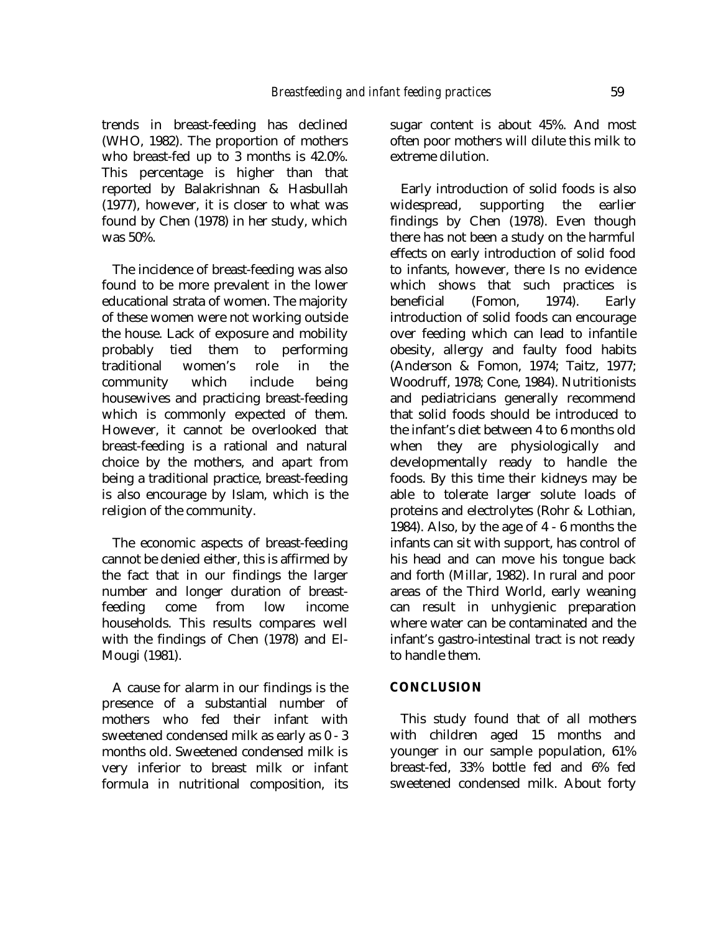trends in breast-feeding has declined (WHO, 1982). The proportion of mothers who breast-fed up to 3 months is 42.0%. This percentage is higher than that reported by Balakrishnan & Hasbullah (1977), however, it is closer to what was found by Chen (1978) in her study, which was 50%.

The incidence of breast-feeding was also found to be more prevalent in the lower educational strata of women. The majority of these women were not working outside the house. Lack of exposure and mobility probably tied them to performing traditional women's role in the community which include being housewives and practicing breast-feeding which is commonly expected of them. However, it cannot be overlooked that breast-feeding is a rational and natural choice by the mothers, and apart from being a traditional practice, breast-feeding is also encourage by Islam, which is the religion of the community.

The economic aspects of breast-feeding cannot be denied either, this is affirmed by the fact that in our findings the larger number and longer duration of breastfeeding come from low income households. This results compares well with the findings of Chen (1978) and El-Mougi (1981).

A cause for alarm in our findings is the presence of a substantial number of mothers who fed their infant with sweetened condensed milk as early as 0 - 3 months old. Sweetened condensed milk is very inferior to breast milk or infant formula in nutritional composition, its

sugar content is about 45%. And most often poor mothers will dilute this milk to extreme dilution.

Early introduction of solid foods is also widespread, supporting the earlier findings by Chen (1978). Even though there has not been a study on the harmful effects on early introduction of solid food to infants, however, there Is no evidence which shows that such practices is beneficial (Fomon, 1974). Early introduction of solid foods can encourage over feeding which can lead to infantile obesity, allergy and faulty food habits (Anderson & Fomon, 1974; Taitz, 1977; Woodruff, 1978; Cone, 1984). Nutritionists and pediatricians generally recommend that solid foods should be introduced to the infant's diet between 4 to 6 months old when they are physiologically and developmentally ready to handle the foods. By this time their kidneys may be able to tolerate larger solute loads of proteins and electrolytes (Rohr & Lothian, 1984). Also, by the age of 4 - 6 months the infants can sit with support, has control of his head and can move his tongue back and forth (Millar, 1982). In rural and poor areas of the Third World, early weaning can result in unhygienic preparation where water can be contaminated and the infant's gastro-intestinal tract is not ready to handle them.

#### **CONCLUSION**

This study found that of all mothers with children aged 15 months and younger in our sample population, 61% breast-fed, 33% bottle fed and 6% fed sweetened condensed milk. About forty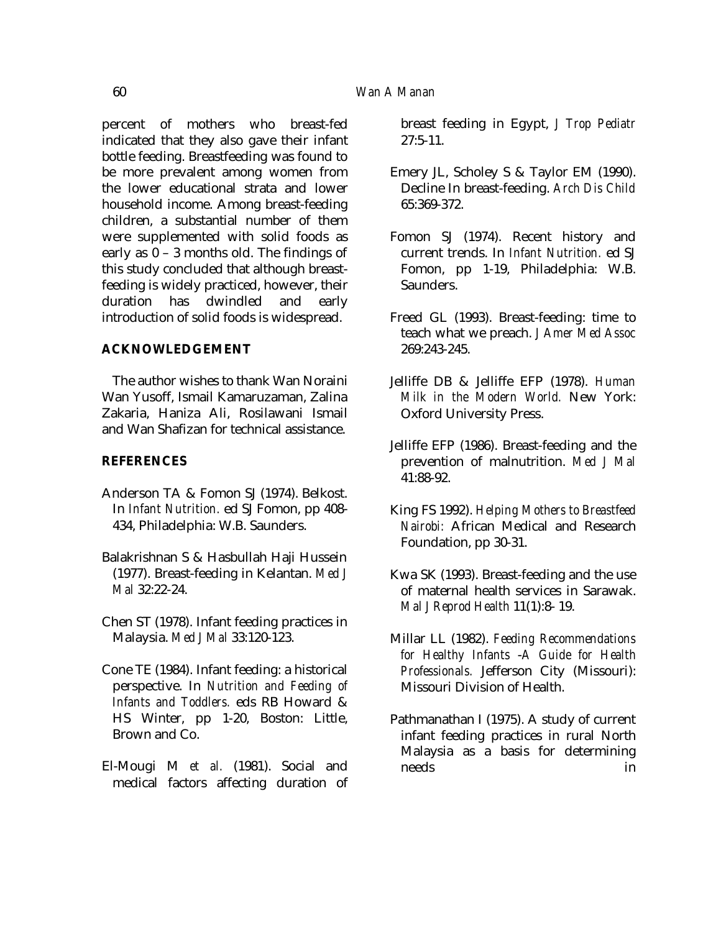percent of mothers who breast-fed indicated that they also gave their infant bottle feeding. Breastfeeding was found to be more prevalent among women from the lower educational strata and lower household income. Among breast-feeding children, a substantial number of them were supplemented with solid foods as early as 0 – 3 months old. The findings of this study concluded that although breastfeeding is widely practiced, however, their duration has dwindled and early introduction of solid foods is widespread.

## **ACKNOWLEDGEMENT**

The author wishes to thank Wan Noraini Wan Yusoff, Ismail Kamaruzaman, Zalina Zakaria, Haniza Ali, Rosilawani Ismail and Wan Shafizan for technical assistance.

### **REFERENCES**

- Anderson TA & Fomon SJ (1974). Belkost. In *Infant Nutrition.* ed SJ Fomon, pp 408- 434, Philadelphia: W.B. Saunders.
- Balakrishnan S & Hasbullah Haji Hussein (1977). Breast-feeding in Kelantan. *Med J Mal* 32:22-24.
- Chen ST (1978). Infant feeding practices in Malaysia. *Med J Mal* 33:120-123.
- Cone TE (1984). Infant feeding: a historical perspective. In *Nutrition and Feeding of Infants and Toddlers.* eds RB Howard & HS Winter, pp 1-20, Boston: Little, Brown and Co.
- El-Mougi M *et al.* (1981). Social and medical factors affecting duration of

breast feeding in Egypt, *J Trop Pediatr*  $27:5-11$ .

- Emery JL, Scholey S & Taylor EM (1990). Decline In breast-feeding. *Arch Dis Child*  65:369-372.
- Fomon SJ (1974). Recent history and current trends. In *Infant Nutrition.* ed SJ Fomon, pp 1-19, Philadelphia: W.B. Saunders.
- Freed GL (1993). Breast-feeding: time to teach what we preach. *J Amer Med Assoc*  269:243-245.
- Jelliffe DB & Jelliffe EFP (1978). *Human Milk in the Modern World.* New York: Oxford University Press.
- Jelliffe EFP (1986). Breast-feeding and the prevention of malnutrition. *Med J Mal* 41:88-92.
- King FS 1992). *Helping Mothers to Breastfeed Nairobi:* African Medical and Research Foundation, pp 30-31.
- Kwa SK (1993). Breast-feeding and the use of maternal health services in Sarawak. *Mal J Reprod Health* 11(1):8- 19.
- Millar LL (1982). *Feeding Recommendations for Healthy Infants* -*A Guide for Health Professionals.* Jefferson City (Missouri): Missouri Division of Health.
- Pathmanathan I (1975). A study of current infant feeding practices in rural North Malaysia as a basis for determining needs in in the set of  $\mathbf{u}$  in  $\mathbf{u}$